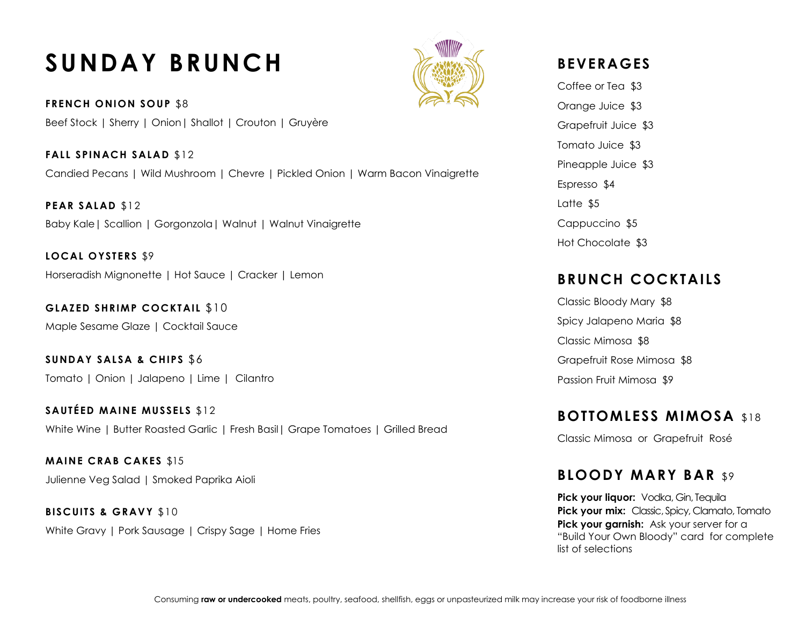# **SUNDAY BRUNCH**

**FRENCH ONION SOUP** \$8 Beef Stock | Sherry | Onion| Shallot | Crouton | Gruyère

**FALL SPINACH SALAD** \$12 Candied Pecans | Wild Mushroom | Chevre | Pickled Onion | Warm Bacon Vinaigrette

**PEAR SALAD** \$12 Baby Kale| Scallion | Gorgonzola| Walnut | Walnut Vinaigrette

**LOCAL OYSTERS** \$9 Horseradish Mignonette | Hot Sauce | Cracker | Lemon

**GLAZED SHRIMP COCKTAIL** \$10 Maple Sesame Glaze | Cocktail Sauce

**SUNDAY SALSA & CHIPS** \$6 Tomato | Onion | Jalapeno | Lime | Cilantro

**SAUTÉED MAINE MUSSELS \$12** White Wine | Butter Roasted Garlic | Fresh Basil | Grape Tomatoes | Grilled Bread

**MAINE CRAB CAKES** \$15 Julienne Veg Salad | Smoked Paprika Aioli

**BISCUITS & GRAVY** \$10 White Gravy | Pork Sausage | Crispy Sage | Home Fries

## **BEVERAGES**

Coffee or Tea \$3 Orange Juice \$3 Grapefruit Juice \$3 Tomato Juice \$3 Pineapple Juice \$3 Espresso \$4 Latte \$5 Cappuccino \$5 Hot Chocolate \$3

## **BRUNCH COCKTAILS**

Classic Bloody Mary \$8 Spicy Jalapeno Maria \$8 Classic Mimosa \$8 Grapefruit Rose Mimosa \$8 Passion Fruit Mimosa \$9

#### **BOTTOMLESS MIMOSA** \$18

Classic Mimosa or Grapefruit Rosé

### **BLOODY MARY BAR** \$9

**Pick your liquor:** Vodka, Gin, Tequila **Pick your mix:** Classic, Spicy, Clamato, Tomato **Pick your garnish:** Ask your server for a "Build Your Own Bloody" card for complete list of selections